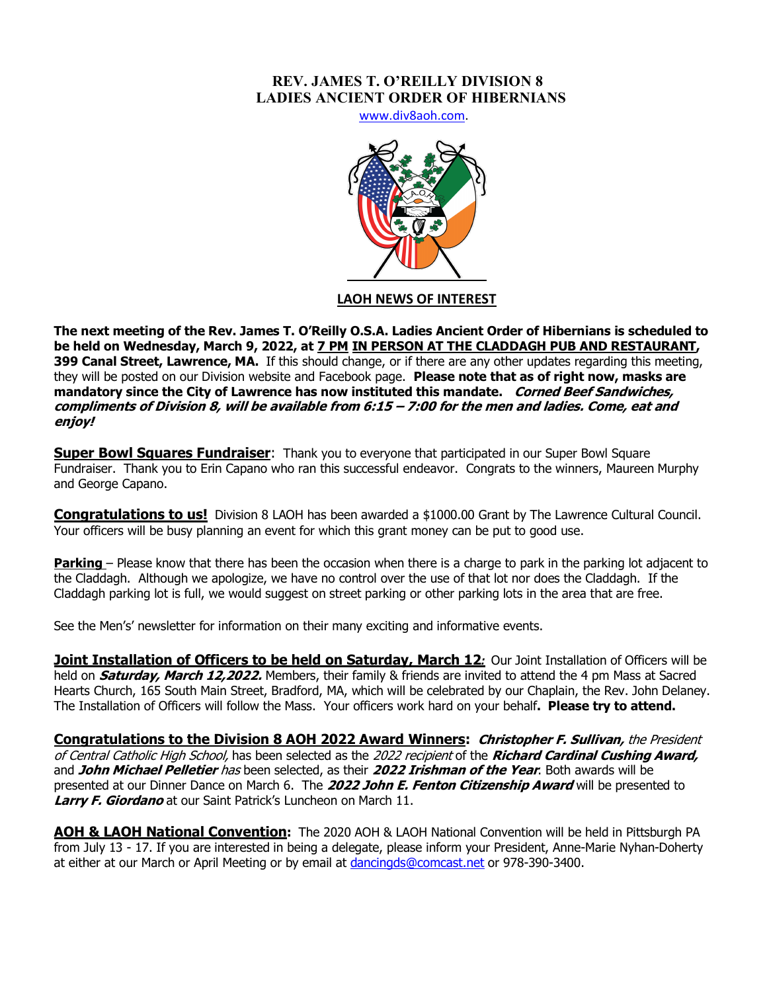## **REV. JAMES T. O'REILLY DIVISION 8 LADIES ANCIENT ORDER OF HIBERNIANS**

www.div8aoh.com.



# **LAOH NEWS OF INTEREST**

**The next meeting of the Rev. James T. O'Reilly O.S.A. Ladies Ancient Order of Hibernians is scheduled to be held on Wednesday, March 9, 2022, at 7 PM IN PERSON AT THE CLADDAGH PUB AND RESTAURANT, 399 Canal Street, Lawrence, MA.** If this should change, or if there are any other updates regarding this meeting, they will be posted on our Division website and Facebook page. **Please note that as of right now, masks are mandatory since the City of Lawrence has now instituted this mandate. Corned Beef Sandwiches, compliments of Division 8, will be available from 6:15 – 7:00 for the men and ladies. Come, eat and enjoy!**

**Super Bowl Squares Fundraiser**: Thank you to everyone that participated in our Super Bowl Square Fundraiser. Thank you to Erin Capano who ran this successful endeavor. Congrats to the winners, Maureen Murphy and George Capano.

**Congratulations to us!** Division 8 LAOH has been awarded a \$1000.00 Grant by The Lawrence Cultural Council. Your officers will be busy planning an event for which this grant money can be put to good use.

**Parking** – Please know that there has been the occasion when there is a charge to park in the parking lot adjacent to the Claddagh. Although we apologize, we have no control over the use of that lot nor does the Claddagh. If the Claddagh parking lot is full, we would suggest on street parking or other parking lots in the area that are free.

See the Men's' newsletter for information on their many exciting and informative events.

**Joint Installation of Officers to be held on Saturday, March 12<sup>***:***</sup> Our Joint Installation of Officers will be** held on **Saturday, March 12,2022.** Members, their family & friends are invited to attend the 4 pm Mass at Sacred Hearts Church, 165 South Main Street, Bradford, MA, which will be celebrated by our Chaplain, the Rev. John Delaney. The Installation of Officers will follow the Mass. Your officers work hard on your behalf**. Please try to attend.**

**Congratulations to the Division 8 AOH 2022 Award Winners: Christopher F. Sullivan,** the President of Central Catholic High School, has been selected as the 2022 recipient of the **Richard Cardinal Cushing Award,**  and **John Michael Pelletier** has been selected, as their **2022 Irishman of the Year**. Both awards will be presented at our Dinner Dance on March 6. The **2022 John E. Fenton Citizenship Award** will be presented to **Larry F. Giordano** at our Saint Patrick's Luncheon on March 11.

**AOH & LAOH National Convention:** The 2020 AOH & LAOH National Convention will be held in Pittsburgh PA from July 13 - 17. If you are interested in being a delegate, please inform your President, Anne-Marie Nyhan-Doherty at either at our March or April Meeting or by email at dancingds@comcast.net or 978-390-3400.